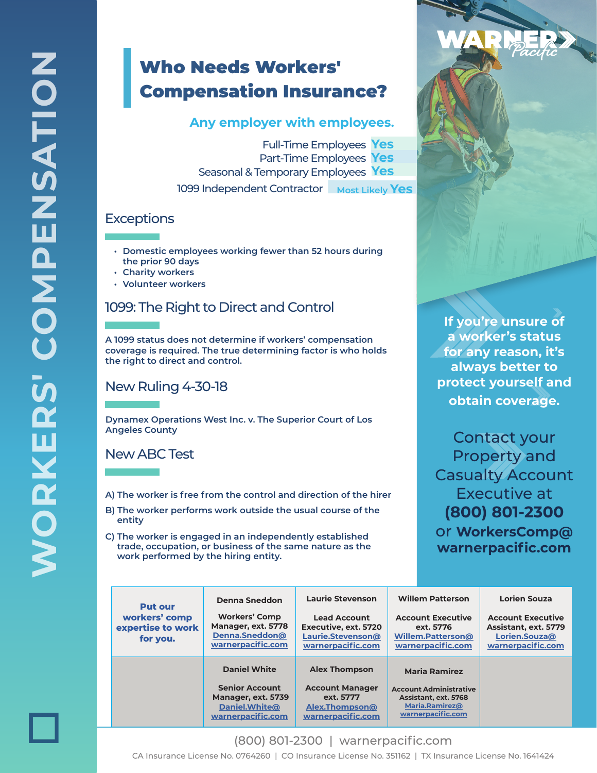## Who Needs Workers' Compensation Insurance?

#### **Any employer with employees.**

Full-Time Employees **Yes** Part-Time Employees **Yes** Seasonal & Temporary Employees **Yes** 1099 Independent Contractor Most Likely Yes

### **Exceptions**

- **• Domestic employees working fewer than 52 hours during the prior 90 days**
- **• Charity workers**
- **• Volunteer workers**

## 1099: The Right to Direct and Control

**A 1099 status does not determine if workers' compensation coverage is required. The true determining factor is who holds the right to direct and control.**

#### New Ruling 4-30-18

**Dynamex Operations West Inc. v. The Superior Court of Los Angeles County**

New ABC Test

- **A) The worker is free from the control and direction of the hirer**
- **B) The worker performs work outside the usual course of the entity**
- **C) The worker is engaged in an independently established trade, occupation, or business of the same nature as the work performed by the hiring entity.**

**If you're unsure of a worker's status for any reason, it's always better to protect yourself and obtain coverage.**

Contact your Property and Casualty Account Executive at **(800) 801-2300** or **WorkersComp@ warnerpacific.com**

| <b>Put our</b><br>workers' comp<br>expertise to work<br>for you. | Denna Sneddon<br><b>Workers' Comp</b><br>Manager, ext. 5778<br>Denna.Sneddon@<br>warnerpacific.com       | <b>Laurie Stevenson</b><br><b>Lead Account</b><br>Executive, ext. 5720<br>Laurie.Stevenson@<br>warnerpacific.com | <b>Willem Patterson</b><br><b>Account Executive</b><br>ext. 5776<br>Willem.Patterson@<br>warnerpacific.com           | <b>Lorien Souza</b><br><b>Account Executive</b><br>Assistant, ext. 5779<br>Lorien.Souza@<br>warnerpacific.com |
|------------------------------------------------------------------|----------------------------------------------------------------------------------------------------------|------------------------------------------------------------------------------------------------------------------|----------------------------------------------------------------------------------------------------------------------|---------------------------------------------------------------------------------------------------------------|
|                                                                  | <b>Daniel White</b><br><b>Senior Account</b><br>Manager, ext. 5739<br>Daniel.White@<br>warnerpacific.com | <b>Alex Thompson</b><br><b>Account Manager</b><br>ext. 5777<br>Alex.Thompson@<br>warnerpacific.com               | <b>Maria Ramirez</b><br><b>Account Administrative</b><br>Assistant, ext. 5768<br>Maria.Ramirez@<br>warnerpacific.com |                                                                                                               |

(800) 801-2300 | warnerpacific.com CA Insurance License No. 0764260 | CO Insurance License No. 351162 | TX Insurance License No. 1641424